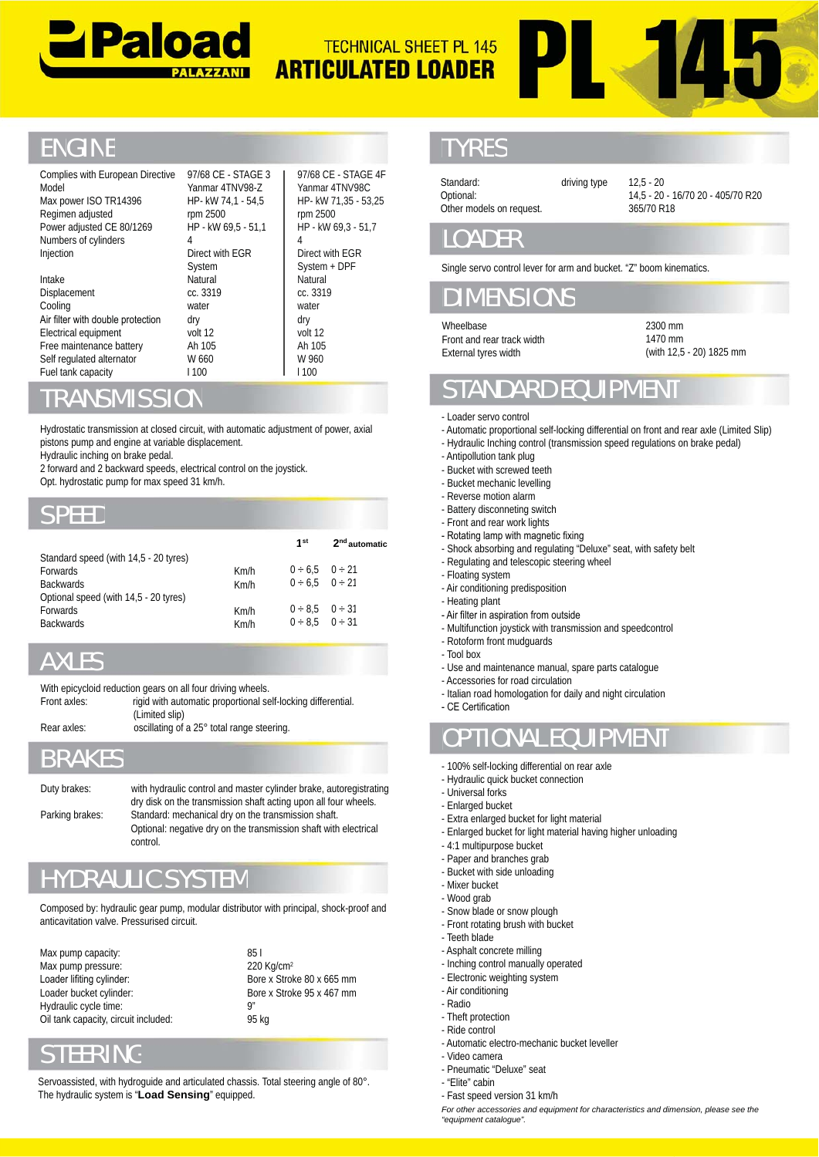



## **ENGINE**

| Complies with European Directive<br>Model<br>Max power ISO TR14396<br>Regimen adjusted<br>Power adjusted CE 80/1269                                                                                                                                                                                     | 97/68 CE - STAGE 3<br>Yanmar 4TNV98-Z<br>HP- kW 74,1 - 54,5<br>rpm 2500<br>HP - kW 69,5 - 51,1                                        |                              | rpm 2500                                                    | 97/68 CE - STAGE 4F<br>Yanmar 4TNV98C<br>HP- kW 71,35 - 53,25<br>HP - kW 69,3 - 51,7 | Standard:<br>Optional:<br>Other models on request.                                                                                                                                                                                                                                                                                  | driving type |
|---------------------------------------------------------------------------------------------------------------------------------------------------------------------------------------------------------------------------------------------------------------------------------------------------------|---------------------------------------------------------------------------------------------------------------------------------------|------------------------------|-------------------------------------------------------------|--------------------------------------------------------------------------------------|-------------------------------------------------------------------------------------------------------------------------------------------------------------------------------------------------------------------------------------------------------------------------------------------------------------------------------------|--------------|
| Numbers of cylinders<br>Injection                                                                                                                                                                                                                                                                       | 4<br>Direct with EGR                                                                                                                  |                              | 4                                                           | Direct with EGR                                                                      | <b>LOADER</b>                                                                                                                                                                                                                                                                                                                       |              |
| Intake<br>Displacement<br>Cooling                                                                                                                                                                                                                                                                       | System<br>Natural<br>cc. 3319<br>water                                                                                                |                              | Natural<br>cc. 3319<br>water                                | System + DPF                                                                         | Single servo control lever for arm and bud<br><b>DIMENSIONS</b>                                                                                                                                                                                                                                                                     |              |
| Air filter with double protection<br>Electrical equipment<br>Free maintenance battery<br>Self regulated alternator                                                                                                                                                                                      | dry<br>volt 12<br>Ah 105<br>W 660                                                                                                     |                              | dry<br>volt 12<br>Ah 105<br>W 960                           |                                                                                      | Wheelbase<br>Front and rear track width<br>External tyres width                                                                                                                                                                                                                                                                     |              |
| Fuel tank capacity<br><b>TRANSMISSION</b>                                                                                                                                                                                                                                                               | 1100                                                                                                                                  |                              | 1100                                                        |                                                                                      | <b>STANDARD EQUI</b>                                                                                                                                                                                                                                                                                                                |              |
| Hydrostatic transmission at closed circuit, with automatic adjustment of power, axial<br>pistons pump and engine at variable displacement.<br>Hydraulic inching on brake pedal.<br>2 forward and 2 backward speeds, electrical control on the joystick.<br>Opt. hydrostatic pump for max speed 31 km/h. |                                                                                                                                       |                              |                                                             |                                                                                      | - Loader servo control<br>- Automatic proportional self-locking differ<br>- Hydraulic Inching control (transmission :<br>- Antipollution tank plug<br>- Bucket with screwed teeth<br>- Bucket mechanic levelling<br>- Reverse motion alarm                                                                                          |              |
| <b>SPEED</b>                                                                                                                                                                                                                                                                                            |                                                                                                                                       |                              |                                                             |                                                                                      | - Battery disconneting switch<br>- Front and rear work lights                                                                                                                                                                                                                                                                       |              |
| Standard speed (with 14,5 - 20 tyres)<br>Forwards<br><b>Backwards</b><br>Optional speed (with 14,5 - 20 tyres)<br>Forwards<br><b>Backwards</b>                                                                                                                                                          |                                                                                                                                       | Km/h<br>Km/h<br>Km/h<br>Km/h | 1 <sup>st</sup><br>0 ÷ 6.5<br>0 ÷ 6,5<br>0 ÷ 8,5<br>0 ÷ 8.5 | 2 <sup>nd</sup> automatic<br>0 ÷ 21<br>$0 \div 21$<br>0 ÷ 31<br>0 ÷ 31               | - Rotating lamp with magnetic fixing<br>- Shock absorbing and regulating "Deluxe<br>- Regulating and telescopic steering whee<br>- Floating system<br>- Air conditioning predisposition<br>- Heating plant<br>- Air filter in aspiration from outside<br>- Multifunction joystick with transmission a<br>- Rotoform front mudguards |              |
| <b>AXLES</b>                                                                                                                                                                                                                                                                                            |                                                                                                                                       |                              |                                                             |                                                                                      | - Tool box<br>- Use and maintenance manual, spare pa                                                                                                                                                                                                                                                                                |              |
| With epicycloid reduction gears on all four driving wheels.<br>Front axles:                                                                                                                                                                                                                             | rigid with automatic proportional self-locking differential.<br>(Limited slip)                                                        |                              |                                                             |                                                                                      | - Accessories for road circulation<br>- Italian road homologation for daily and r<br>- CE Certification                                                                                                                                                                                                                             |              |
| Rear axles:                                                                                                                                                                                                                                                                                             | oscillating of a 25° total range steering.                                                                                            |                              |                                                             |                                                                                      | <b>OPTIONAL EQUIP</b>                                                                                                                                                                                                                                                                                                               |              |
| <b>BRAKES</b>                                                                                                                                                                                                                                                                                           |                                                                                                                                       |                              |                                                             |                                                                                      | - 100% self-locking differential on rear axl<br>Hydraulic quick bucket connection                                                                                                                                                                                                                                                   |              |
| Duty brakes:                                                                                                                                                                                                                                                                                            | with hydraulic control and master cylinder brake, autoregistrating<br>dry disk on the transmission shaft acting upon all four wheels. |                              |                                                             |                                                                                      | - Universal forks<br>- Enlarged bucket                                                                                                                                                                                                                                                                                              |              |
| Parking brakes:<br>control.                                                                                                                                                                                                                                                                             | Standard: mechanical dry on the transmission shaft.<br>Optional: negative dry on the transmission shaft with electrical               |                              |                                                             |                                                                                      | - Extra enlarged bucket for light material<br>- Enlarged bucket for light material having<br>- 4:1 multipurpose bucket<br>- Paper and branches grab                                                                                                                                                                                 |              |
| <b>HYDRAULIC SYSTEM</b>                                                                                                                                                                                                                                                                                 |                                                                                                                                       |                              |                                                             |                                                                                      | - Bucket with side unloading<br>- Mixer bucket                                                                                                                                                                                                                                                                                      |              |
| Composed by: hydraulic gear pump, modular distributor with principal, shock-proof and<br>anticavitation valve. Pressurised circuit.                                                                                                                                                                     |                                                                                                                                       |                              |                                                             |                                                                                      | - Wood grab<br>- Snow blade or snow plough<br>- Front rotating brush with bucket<br>- Teeth blade                                                                                                                                                                                                                                   |              |
| Max pump capacity:                                                                                                                                                                                                                                                                                      |                                                                                                                                       | 851                          |                                                             |                                                                                      | - Asphalt concrete milling                                                                                                                                                                                                                                                                                                          |              |

#### RANSMISSION

### SPEED

| Hydraulic inching on brake pedal.                                                     | pistons pump and engine at variable displacement.<br>2 forward and 2 backward speeds, electrical control on the joystick.<br>Opt. hydrostatic pump for max speed 31 km/h. |                               |                           |                           | - Hydraulic Inching control (transmission speed regulations on brake pedal)<br>- Antipollution tank plug<br>- Bucket with screwed teeth<br>- Bucket mechanic levelling |
|---------------------------------------------------------------------------------------|---------------------------------------------------------------------------------------------------------------------------------------------------------------------------|-------------------------------|---------------------------|---------------------------|------------------------------------------------------------------------------------------------------------------------------------------------------------------------|
| <b>SPEED</b>                                                                          |                                                                                                                                                                           |                               |                           |                           | - Reverse motion alarm<br>- Battery disconneting switch<br>- Front and rear work lights                                                                                |
|                                                                                       |                                                                                                                                                                           |                               | 1 <sup>st</sup>           | 2 <sup>nd</sup> automatic | - Rotating lamp with magnetic fixing<br>- Shock absorbing and regulating "Deluxe" seat, with safety belt                                                               |
| Standard speed (with 14,5 - 20 tyres)<br>Forwards                                     |                                                                                                                                                                           | Km/h                          | 0 ÷ 6.5                   | 0 ÷ 21                    | - Regulating and telescopic steering wheel                                                                                                                             |
| <b>Backwards</b>                                                                      |                                                                                                                                                                           | Km/h                          | 0 ÷ 6.5                   | $0 \div 21$               | - Floating system<br>- Air conditioning predisposition                                                                                                                 |
| Optional speed (with 14,5 - 20 tyres)                                                 |                                                                                                                                                                           |                               |                           |                           | - Heating plant                                                                                                                                                        |
| Forwards                                                                              |                                                                                                                                                                           | Km/h                          | $0 \div 8.5$ $0 \div 31$  |                           | - Air filter in aspiration from outside                                                                                                                                |
| <b>Backwards</b>                                                                      |                                                                                                                                                                           | Km/h                          | $0 \div 8.5$ $0 \div 31$  |                           | - Multifunction joystick with transmission and speedcontrol                                                                                                            |
|                                                                                       |                                                                                                                                                                           |                               |                           |                           | - Rotoform front mudguards                                                                                                                                             |
| <b>AXLES</b>                                                                          |                                                                                                                                                                           |                               |                           |                           | - Tool box                                                                                                                                                             |
|                                                                                       |                                                                                                                                                                           |                               |                           |                           | - Use and maintenance manual, spare parts catalogue<br>- Accessories for road circulation                                                                              |
| With epicycloid reduction gears on all four driving wheels.                           |                                                                                                                                                                           |                               |                           |                           | - Italian road homologation for daily and night circulation                                                                                                            |
| Front axles:                                                                          | rigid with automatic proportional self-locking differential.                                                                                                              |                               |                           |                           | - CE Certification                                                                                                                                                     |
| Rear axles:                                                                           | (Limited slip)<br>oscillating of a 25° total range steering.                                                                                                              |                               |                           |                           |                                                                                                                                                                        |
|                                                                                       |                                                                                                                                                                           |                               |                           |                           | <b>OPTIONAL EQUIPMENT</b>                                                                                                                                              |
| <b>BRAKES</b>                                                                         |                                                                                                                                                                           |                               |                           |                           | - 100% self-locking differential on rear axle                                                                                                                          |
|                                                                                       |                                                                                                                                                                           |                               |                           |                           | - Hydraulic quick bucket connection                                                                                                                                    |
| Duty brakes:                                                                          | with hydraulic control and master cylinder brake, autoregistrating                                                                                                        |                               |                           |                           | - Universal forks                                                                                                                                                      |
|                                                                                       | dry disk on the transmission shaft acting upon all four wheels.                                                                                                           |                               |                           |                           | - Enlarged bucket                                                                                                                                                      |
| Parking brakes:                                                                       | Standard: mechanical dry on the transmission shaft.<br>Optional: negative dry on the transmission shaft with electrical                                                   |                               |                           |                           | - Extra enlarged bucket for light material                                                                                                                             |
|                                                                                       | control.                                                                                                                                                                  |                               |                           |                           | - Enlarged bucket for light material having higher unloading                                                                                                           |
|                                                                                       |                                                                                                                                                                           |                               |                           |                           | - 4:1 multipurpose bucket<br>- Paper and branches grab                                                                                                                 |
|                                                                                       |                                                                                                                                                                           |                               |                           |                           | - Bucket with side unloading                                                                                                                                           |
| <b>HYDRAULIC SYSTEM</b>                                                               |                                                                                                                                                                           |                               |                           |                           | - Mixer bucket                                                                                                                                                         |
|                                                                                       |                                                                                                                                                                           |                               |                           |                           | - Wood grab                                                                                                                                                            |
| Composed by: hydraulic gear pump, modular distributor with principal, shock-proof and |                                                                                                                                                                           |                               |                           |                           | - Snow blade or snow plough                                                                                                                                            |
| anticavitation valve. Pressurised circuit.                                            |                                                                                                                                                                           |                               |                           |                           | - Front rotating brush with bucket                                                                                                                                     |
|                                                                                       |                                                                                                                                                                           |                               |                           |                           | - Teeth blade<br>- Asphalt concrete milling                                                                                                                            |
| Max pump capacity:                                                                    |                                                                                                                                                                           | 851<br>220 Kg/cm <sup>2</sup> |                           |                           | - Inching control manually operated                                                                                                                                    |
| Max pump pressure:<br>Loader lifiting cylinder:                                       |                                                                                                                                                                           |                               | Bore x Stroke 80 x 665 mm |                           | - Electronic weighting system                                                                                                                                          |
| Loader bucket cylinder:                                                               |                                                                                                                                                                           |                               | Bore x Stroke 95 x 467 mm |                           | - Air conditioning                                                                                                                                                     |
| Hydraulic cycle time:                                                                 |                                                                                                                                                                           | g"                            |                           |                           | - Radio                                                                                                                                                                |
| Oil tank capacity, circuit included:                                                  |                                                                                                                                                                           | 95 kg                         |                           |                           | - Theft protection                                                                                                                                                     |
|                                                                                       |                                                                                                                                                                           |                               |                           |                           | - Ride control                                                                                                                                                         |
| <b>STEERING</b>                                                                       |                                                                                                                                                                           |                               |                           |                           | - Automatic electro-mechanic bucket leveller<br>- Video camera                                                                                                         |
|                                                                                       |                                                                                                                                                                           |                               |                           |                           | - Pneumatic "Deluxe" seat                                                                                                                                              |
| Servoassisted, with hydroguide and articulated chassis. Total steering angle of 80°.  |                                                                                                                                                                           |                               |                           |                           | - "Elite" cabin                                                                                                                                                        |
| The hydraulic system is "Load Sensing" equipped.                                      |                                                                                                                                                                           |                               |                           |                           | - Fast speed version 31 km/h                                                                                                                                           |

### AXLES

| With epicycloid reduction gears on all four driving wheels. |                                                              |  |  |  |  |  |
|-------------------------------------------------------------|--------------------------------------------------------------|--|--|--|--|--|
| Front axles:                                                | rigid with automatic proportional self-locking differential. |  |  |  |  |  |
|                                                             | (Limited slip)                                               |  |  |  |  |  |
| Rear axles:                                                 | oscillating of a 25° total range steering.                   |  |  |  |  |  |

# YDRAULIC SYSTEM

# STEERING

Servoassisted, with hydroguide and articulated chassis. Total steering angle of 80°. The hydraulic system is "**Load Sensing**" equipped.

### TYRES

driving type 12,5 - 20 14,5 - 20 - 16/70 20 - 405/70 R20 365/70 R18

#### LOADER

Single servo control lever for arm and bucket. "Z" boom kinematics.

## WENSION

2300 mm 1470 mm (with 12,5 - 20) 1825 mm

## STANDARD EQUIPMENT

- Loader servo control
- Automatic proportional self-locking differential on front and rear axle (Limited Slip)
- Hydraulic Inching control (transmission speed regulations on brake pedal)
- Antipollution tank plug
- Bucket with screwed teeth
- Bucket mechanic levelling
- Reverse motion alarm
- Battery disconneting switch
- Front and rear work lights
- Rotating lamp with magnetic fixing
- Shock absorbing and regulating "Deluxe" seat, with safety belt
- Regulating and telescopic steering wheel - Floating system
- 
- Air conditioning predisposition
- Heating plant
- Air filter in aspiration from outside
- Multifunction joystick with transmission and speedcontrol
- Rotoform front mudguards
- Tool box
- Use and maintenance manual, spare parts catalogue
- Accessories for road circulation
- Italian road homologation for daily and night circulation
- CE Certification
- OPTIONAL EQUIPMENT
- 100% self-locking differential on rear axle
- Hydraulic quick bucket connection
- Universal forks
- Enlarged bucket
- Extra enlarged bucket for light material - Enlarged bucket for light material having higher unloading
- 4:1 multipurpose bucket
- Paper and branches grab
- Bucket with side unloading
- Mixer bucket
- Wood grab
- Snow blade or snow plough -
- Front rotating brush with bucket
- Teeth blade
- Asphalt concrete milling
- Inching control manually operated
- Electronic weighting system
- Air conditioning - Radio
- Theft protection
- Ride control
- Automatic electro-mechanic bucket leveller
- Video camera
- Pneumatic "Deluxe" seat
- "Elite" cabin
- Fast speed version 31 km/h

*For other accessories and equipment for characteristics and dimension, please see the the "equipment catalogue".*